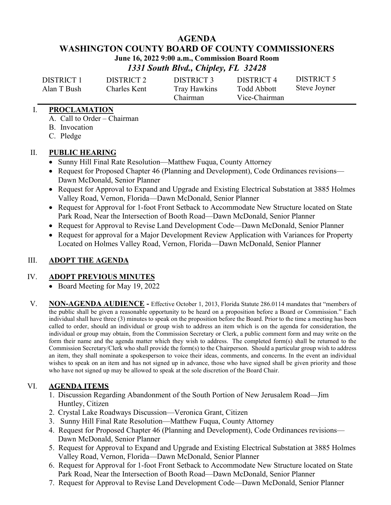# **AGENDA WASHINGTON COUNTY BOARD OF COUNTY COMMISSIONERS June 16, 2022 9:00 a.m., Commission Board Room** *1331 South Blvd., Chipley, FL 32428*

| <b>DISTRICT 1</b> | DISTRICT 2   | DISTRICT 3   | DISTRICT <sub>4</sub> | DISTRICT 5   |
|-------------------|--------------|--------------|-----------------------|--------------|
| Alan T Bush       | Charles Kent | Tray Hawkins | <b>Todd Abbott</b>    | Steve Joyner |
|                   |              | Chairman     | Vice-Chairman         |              |

#### I. **PROCLAMATION**

- A. Call to Order Chairman
- B. Invocation
- C. Pledge

## II. **PUBLIC HEARING**

- Sunny Hill Final Rate Resolution—Matthew Fuqua, County Attorney
- Request for Proposed Chapter 46 (Planning and Development), Code Ordinances revisions— Dawn McDonald, Senior Planner
- Request for Approval to Expand and Upgrade and Existing Electrical Substation at 3885 Holmes Valley Road, Vernon, Florida—Dawn McDonald, Senior Planner
- Request for Approval for 1-foot Front Setback to Accommodate New Structure located on State Park Road, Near the Intersection of Booth Road—Dawn McDonald, Senior Planner
- Request for Approval to Revise Land Development Code—Dawn McDonald, Senior Planner
- Request for approval for a Major Development Review Application with Variances for Property Located on Holmes Valley Road, Vernon, Florida—Dawn McDonald, Senior Planner

## III. **ADOPT THE AGENDA**

#### IV. **ADOPT PREVIOUS MINUTES**

- Board Meeting for May 19, 2022
- V. **NON-AGENDA AUDIENCE -** Effective October 1, 2013, Florida Statute 286.0114 mandates that "members of the public shall be given a reasonable opportunity to be heard on a proposition before a Board or Commission." Each individual shall have three (3) minutes to speak on the proposition before the Board. Prior to the time a meeting has been called to order, should an individual or group wish to address an item which is on the agenda for consideration, the individual or group may obtain, from the Commission Secretary or Clerk, a public comment form and may write on the form their name and the agenda matter which they wish to address. The completed form(s) shall be returned to the Commission Secretary/Clerk who shall provide the form(s) to the Chairperson. Should a particular group wish to address an item, they shall nominate a spokesperson to voice their ideas, comments, and concerns. In the event an individual wishes to speak on an item and has not signed up in advance, those who have signed shall be given priority and those who have not signed up may be allowed to speak at the sole discretion of the Board Chair.

#### VI. **AGENDA ITEMS**

- 1. Discussion Regarding Abandonment of the South Portion of New Jerusalem Road—Jim Huntley, Citizen
- 2. Crystal Lake Roadways Discussion—Veronica Grant, Citizen
- 3. Sunny Hill Final Rate Resolution—Matthew Fuqua, County Attorney
- 4. Request for Proposed Chapter 46 (Planning and Development), Code Ordinances revisions— Dawn McDonald, Senior Planner
- 5. Request for Approval to Expand and Upgrade and Existing Electrical Substation at 3885 Holmes Valley Road, Vernon, Florida—Dawn McDonald, Senior Planner
- 6. Request for Approval for 1-foot Front Setback to Accommodate New Structure located on State Park Road, Near the Intersection of Booth Road—Dawn McDonald, Senior Planner
- 7. Request for Approval to Revise Land Development Code—Dawn McDonald, Senior Planner